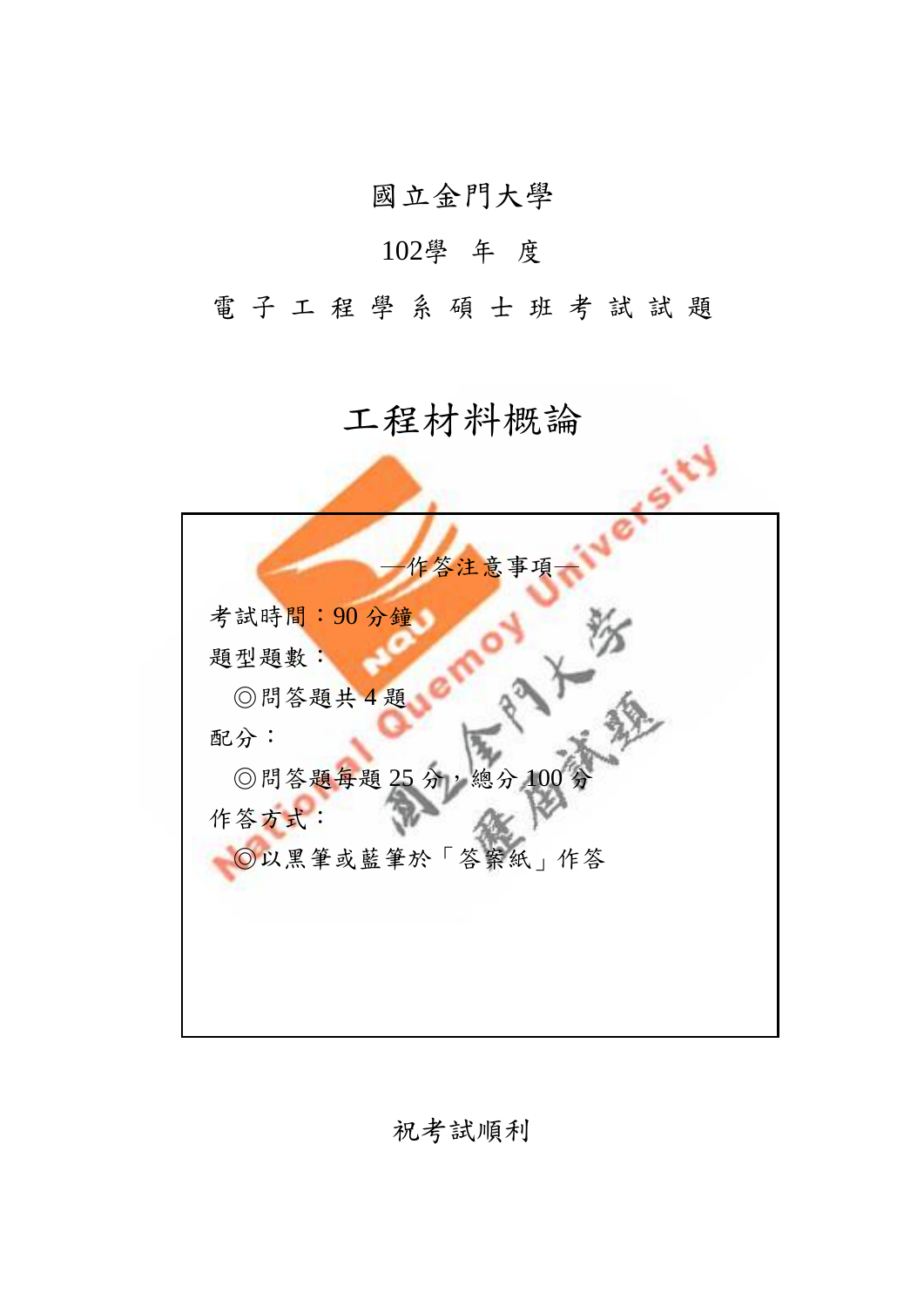國立金門大學

## 102學 年 度

電子工程學系碩士班考試試題

## 工程材料概論

| 作答注意事項             |
|--------------------|
| 考試時間:90分鐘          |
| 題型題數:              |
| ◎問答題共4題            |
| 配分:                |
| ◎問答題每題 25分,總分 100分 |
| 作答方式:              |
| ◎以黑筆或藍筆於「答案紙」作答    |
|                    |
|                    |
|                    |
|                    |

祝考試順利